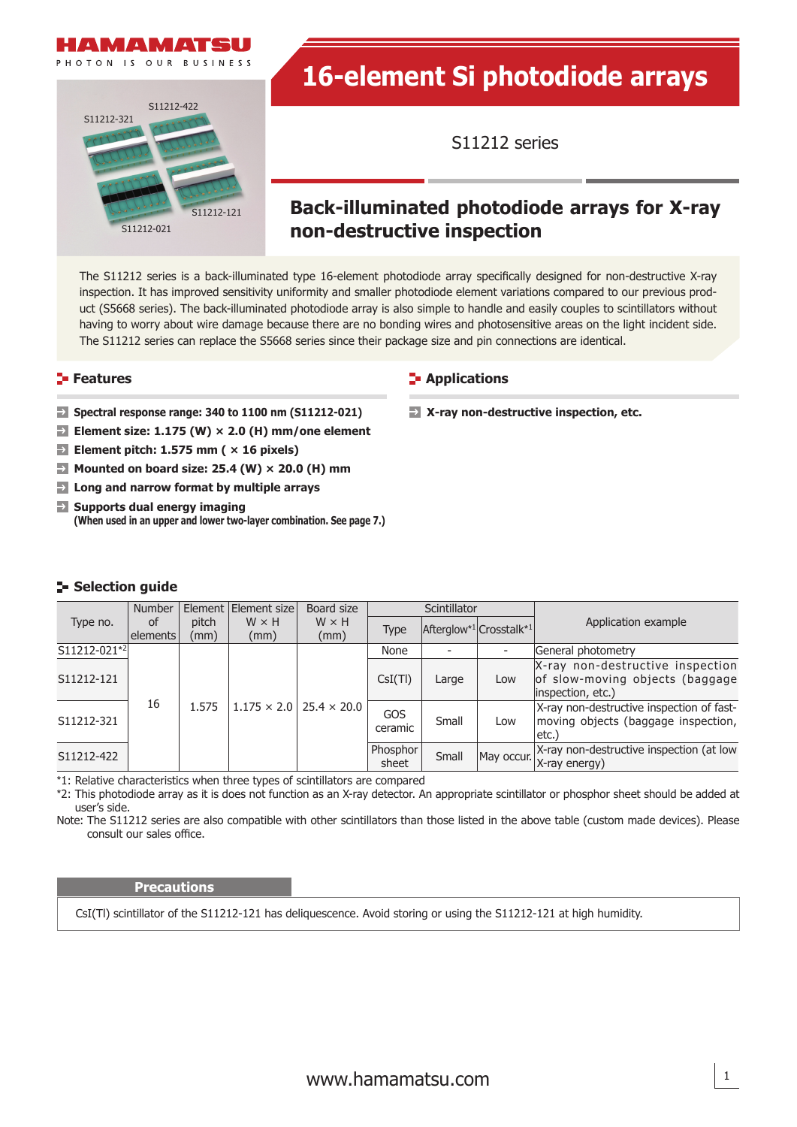



# **16-element Si photodiode arrays**

S11212 series

### **Back-illuminated photodiode arrays for X-ray non-destructive inspection**

The S11212 series is a back-illuminated type 16-element photodiode array specifically designed for non-destructive X-ray inspection. It has improved sensitivity uniformity and smaller photodiode element variations compared to our previous product (S5668 series). The back-illuminated photodiode array is also simple to handle and easily couples to scintillators without having to worry about wire damage because there are no bonding wires and photosensitive areas on the light incident side. The S11212 series can replace the S5668 series since their package size and pin connections are identical.

- **Spectral response range: 340 to 1100 nm (S11212-021)**
- **Element size: 1.175 (W) × 2.0 (H) mm/one element**
- $\rightarrow$ **Element pitch: 1.575 mm ( × 16 pixels)**
- **Mounted on board size: 25.4 (W) × 20.0 (H) mm**
- **Long and narrow format by multiple arrays**
- **Supports dual energy imaging (When used in an upper and lower two-layer combination. See page 7.)**

### **Features Applications Applications**

**X-ray non-destructive inspection, etc.**

### **Selection guide**

|              | <b>Number</b>  |               | Element Element size | Board size           | Scintillator      |       |                         |                                                                                          |
|--------------|----------------|---------------|----------------------|----------------------|-------------------|-------|-------------------------|------------------------------------------------------------------------------------------|
| Type no.     | of<br>elements | pitch<br>(mm) | $W \times H$<br>(mm) | $W \times H$<br>(mm) | Type              |       | Afterglow*1 Crosstalk*1 | Application example                                                                      |
| S11212-021*2 | 16             | 1.575         | $1.175 \times 2.0$   | $25.4 \times 20.0$   | None              |       |                         | General photometry                                                                       |
| S11212-121   |                |               |                      |                      | CsI(TI)           | Large | Low                     | X-ray non-destructive inspection<br>of slow-moving objects (baggage<br>inspection, etc.) |
| S11212-321   |                |               |                      |                      | GOS<br>ceramic    | Small | Low                     | X-ray non-destructive inspection of fast-<br>moving objects (baggage inspection,<br>etc. |
| S11212-422   |                |               |                      |                      | Phosphor<br>sheet | Small | May occur.              | X-ray non-destructive inspection (at low<br>X-ray energy)                                |

\*1: Relative characteristics when three types of scintillators are compared

\*2: This photodiode array as it is does not function as an X-ray detector. An appropriate scintillator or phosphor sheet should be added at user's side.

Note: The S11212 series are also compatible with other scintillators than those listed in the above table (custom made devices). Please consult our sales office.

#### **Precautions**

CsI(Tl) scintillator of the S11212-121 has deliquescence. Avoid storing or using the S11212-121 at high humidity.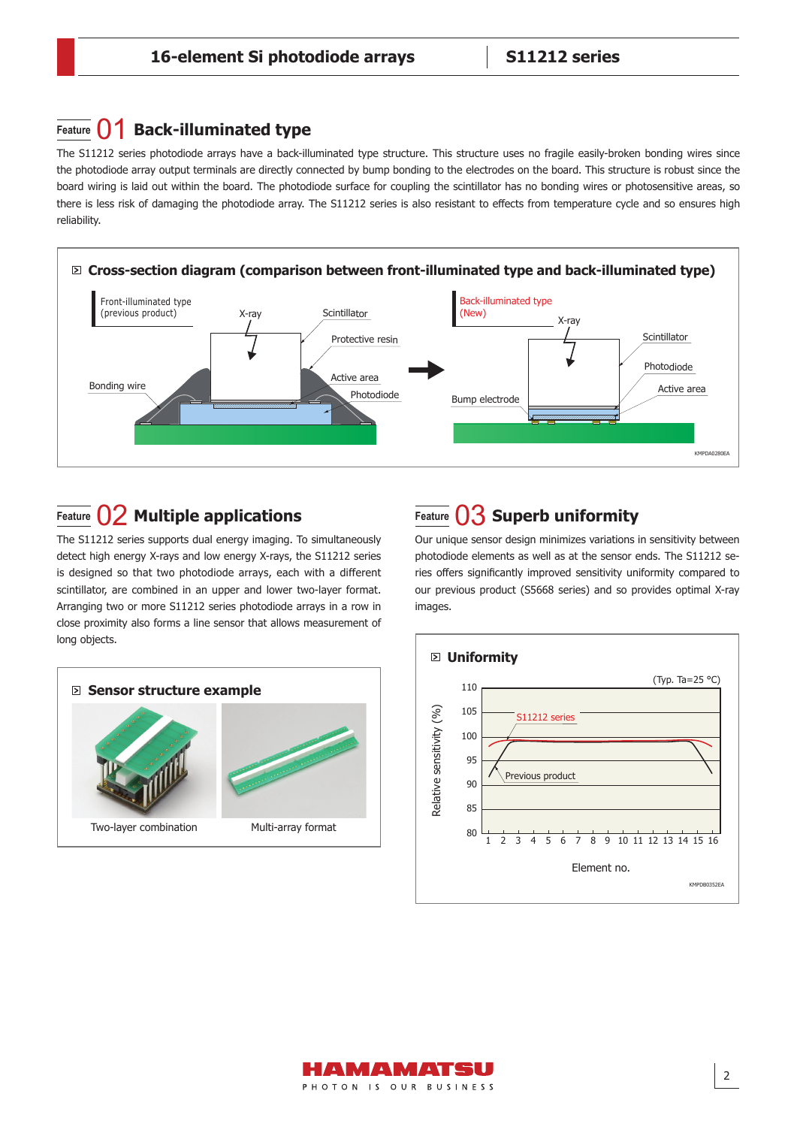### **Feature**  $\bigcap$  **Back-illuminated type**

The S11212 series photodiode arrays have a back-illuminated type structure. This structure uses no fragile easily-broken bonding wires since the photodiode array output terminals are directly connected by bump bonding to the electrodes on the board. This structure is robust since the board wiring is laid out within the board. The photodiode surface for coupling the scintillator has no bonding wires or photosensitive areas, so there is less risk of damaging the photodiode array. The S11212 series is also resistant to effects from temperature cycle and so ensures high reliability.



### **Feature**  $\bigcup$  **Multiple applications Feature**  $\bigcup$  **Superb uniformity**

The S11212 series supports dual energy imaging. To simultaneously detect high energy X-rays and low energy X-rays, the S11212 series is designed so that two photodiode arrays, each with a different scintillator, are combined in an upper and lower two-layer format. Arranging two or more S11212 series photodiode arrays in a row in close proximity also forms a line sensor that allows measurement of long objects.





Our unique sensor design minimizes variations in sensitivity between photodiode elements as well as at the sensor ends. The S11212 series offers significantly improved sensitivity uniformity compared to our previous product (S5668 series) and so provides optimal X-ray images.



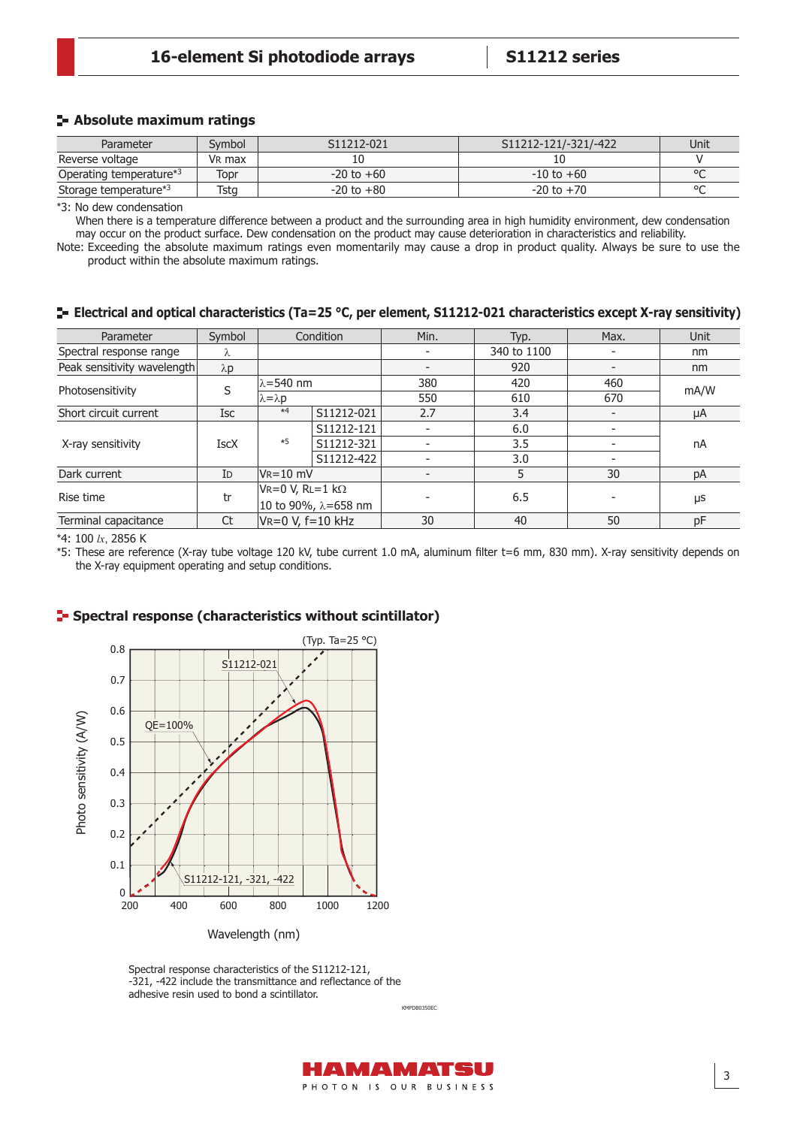### **16-element Si photodiode arrays S11212 series**

### **Absolute maximum ratings**

| Parameter                         | Svmbol             | S11212-021     | S11212-121/-321/-422 | Unit    |
|-----------------------------------|--------------------|----------------|----------------------|---------|
| Reverse voltage                   | V <sub>R</sub> max |                |                      |         |
| Operating temperature*3           | Topr               | $-20$ to $+60$ | $-10$ to $+60$       | $\circ$ |
| Storage temperature* <sup>3</sup> | Tsta               | $-20$ to $+80$ | $-20$ to $+70$       | $\circ$ |

\*3: No dew condensation

When there is a temperature difference between a product and the surrounding area in high humidity environment, dew condensation may occur on the product surface. Dew condensation on the product may cause deterioration in characteristics and reliability.

Note: Exceeding the absolute maximum ratings even momentarily may cause a drop in product quality. Always be sure to use the product within the absolute maximum ratings.

#### **Electrical and optical characteristics (Ta=25 °C, per element, S11212-021 characteristics except X-ray sensitivity)**

| Symbol<br>Parameter                                  |                | Condition                   |            | Min.                     | Typ.        | Max. | <b>Unit</b> |  |
|------------------------------------------------------|----------------|-----------------------------|------------|--------------------------|-------------|------|-------------|--|
| Spectral response range                              | λ              |                             |            | ۰                        | 340 to 1100 |      | nm          |  |
| Peak sensitivity wavelength                          | $\lambda p$    |                             |            | $\overline{\phantom{a}}$ | 920         |      | nm          |  |
| Photosensitivity                                     | S              | $\lambda = 540$ nm          |            | 380                      | 420         | 460  | mA/W        |  |
|                                                      |                | $\lambda = \lambda p$       |            | 550                      | 610         | 670  |             |  |
| Short circuit current                                | Isc            | $*4$                        | S11212-021 | 2.7                      | 3.4         |      | μA          |  |
|                                                      |                |                             | S11212-121 | $\overline{\phantom{a}}$ | 6.0         |      | nA          |  |
| X-ray sensitivity                                    | <b>IscX</b>    | $*5$                        | S11212-321 | $\overline{\phantom{a}}$ | 3.5         |      |             |  |
|                                                      |                |                             | S11212-422 |                          | 3.0         |      |             |  |
| Dark current                                         | I <sub>D</sub> | $V_R = 10$ mV               |            |                          | 5           | 30   | pA          |  |
| Rise time                                            | tr             | $V = 0 V$ , RL=1 k $\Omega$ |            |                          | 6.5         |      | μs          |  |
|                                                      |                | 10 to 90%, λ=658 nm         |            |                          |             |      |             |  |
| $VR = 0 V, f = 10 kHz$<br>Ct<br>Terminal capacitance |                |                             | 30         | 40                       | 50          | pF   |             |  |

\*4: 100 *lx*, 2856 K

\*5: These are reference (X-ray tube voltage 120 kV, tube current 1.0 mA, aluminum fi lter t=6 mm, 830 mm). X-ray sensitivity depends on the X-ray equipment operating and setup conditions.

#### **Spectral response (characteristics without scintillator)**



Wavelength (nm)

Spectral response characteristics of the S11212-121, -321, -422 include the transmittance and reflectance of the adhesive resin used to bond a scintillator.

> HAMAMATSU PHOTON IS OUR BUSINESS

KMPDB0350EC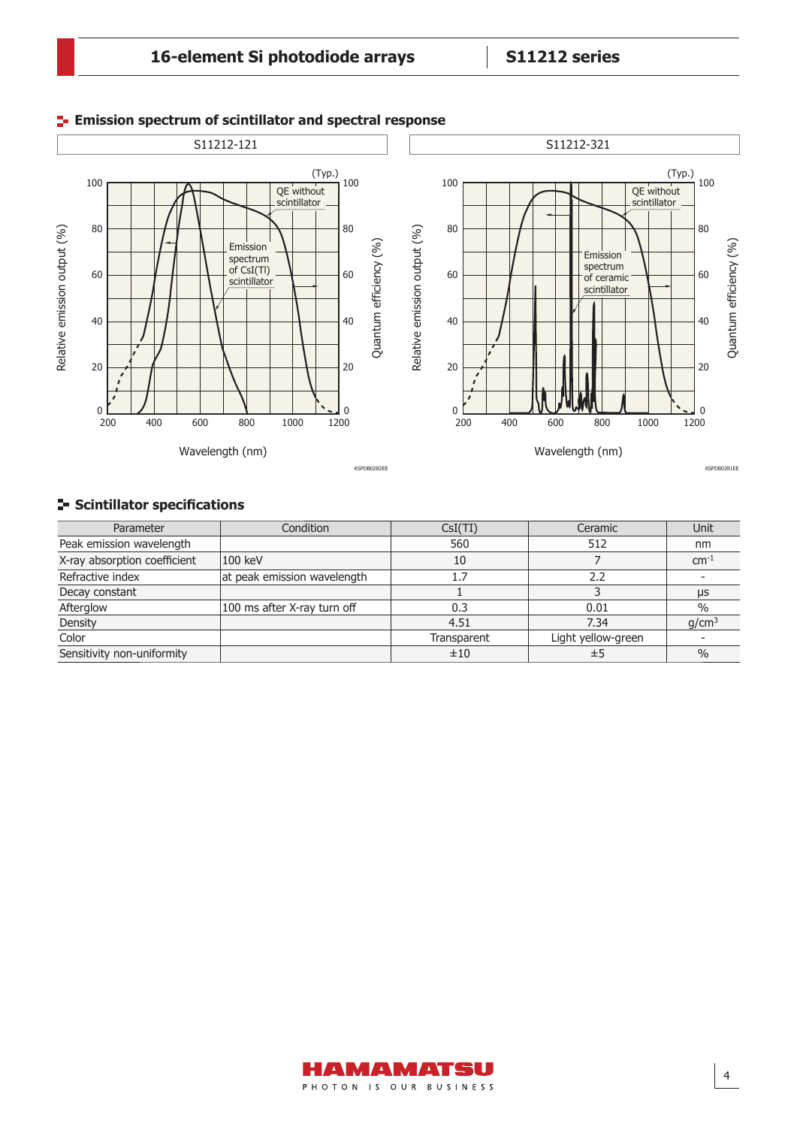### **16-element Si photodiode arrays S11212 series**



### **Emission spectrum of scintillator and spectral response**

### **Scintillator specifications**

| Parameter                    | Condition                   | CsI(TI)     | Ceramic            | Unit              |
|------------------------------|-----------------------------|-------------|--------------------|-------------------|
| Peak emission wavelength     |                             | 560         | 512                | nm                |
| X-ray absorption coefficient | 100 keV                     | 10          |                    | $cm^{-1}$         |
| Refractive index             | at peak emission wavelength | 1.7         | 2.2                |                   |
| Decay constant               |                             |             |                    | μs                |
| Afterglow                    | 100 ms after X-ray turn off | 0.3         | 0.01               | $\%$              |
| Density                      |                             | 4.51        | 7.34               | q/cm <sup>3</sup> |
| Color                        |                             | Transparent | Light yellow-green |                   |
| Sensitivity non-uniformity   |                             | ±10         | ±5                 | $\frac{0}{0}$     |

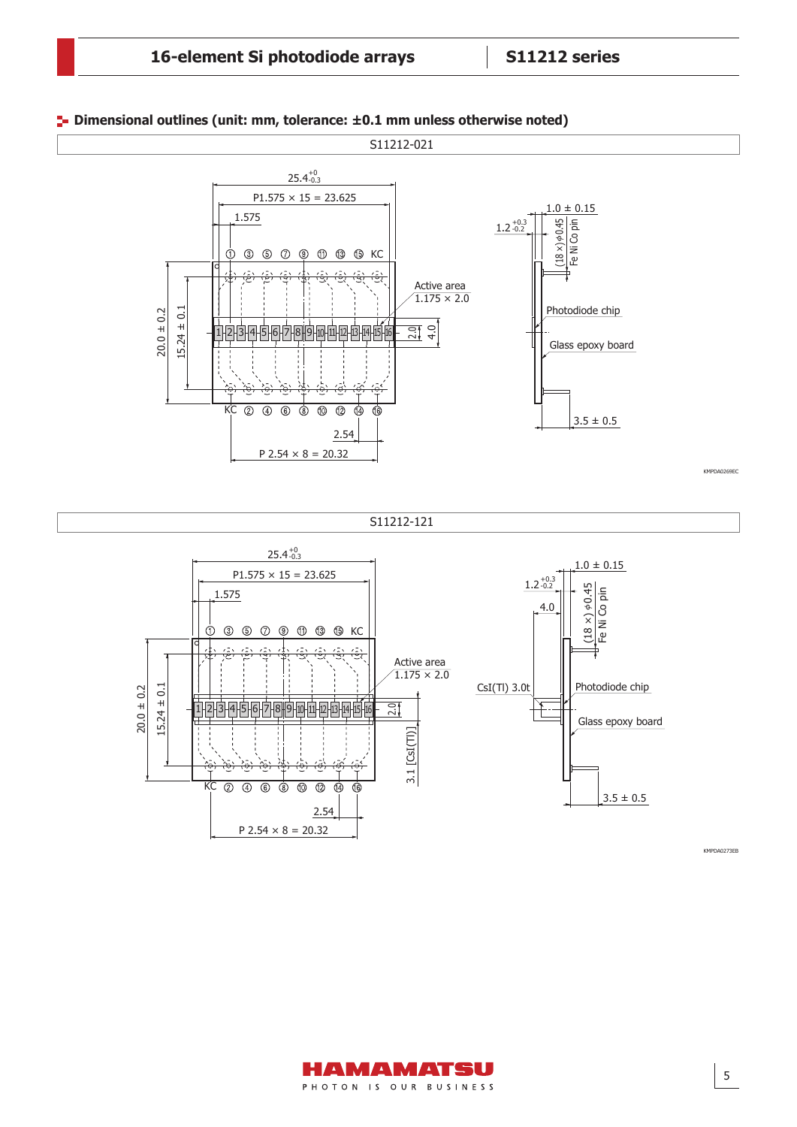

#### **Dimensional outlines (unit: mm, tolerance: ±0.1 mm unless otherwise noted)**

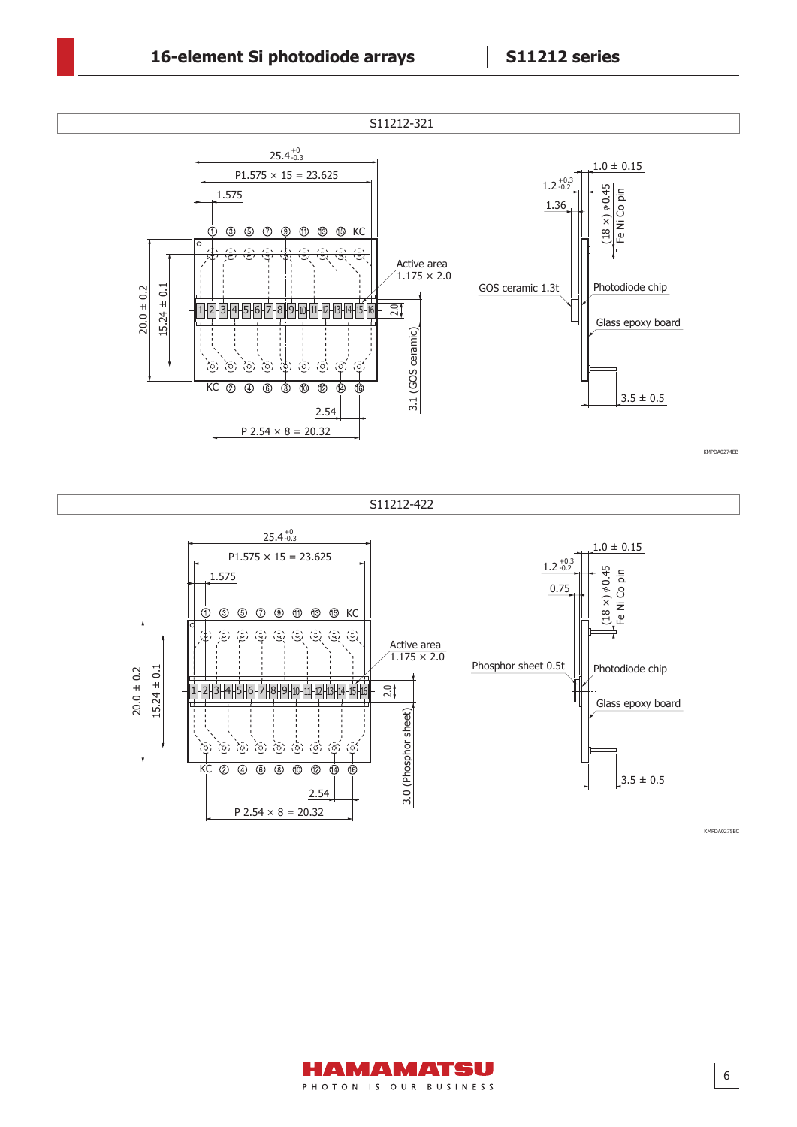### **16-element Si photodiode arrays S11212 series**

P  $2.54 \times 8 = 20.32$ 

2.54



KMPDA0275EC

 $3.5 \pm 0.5$